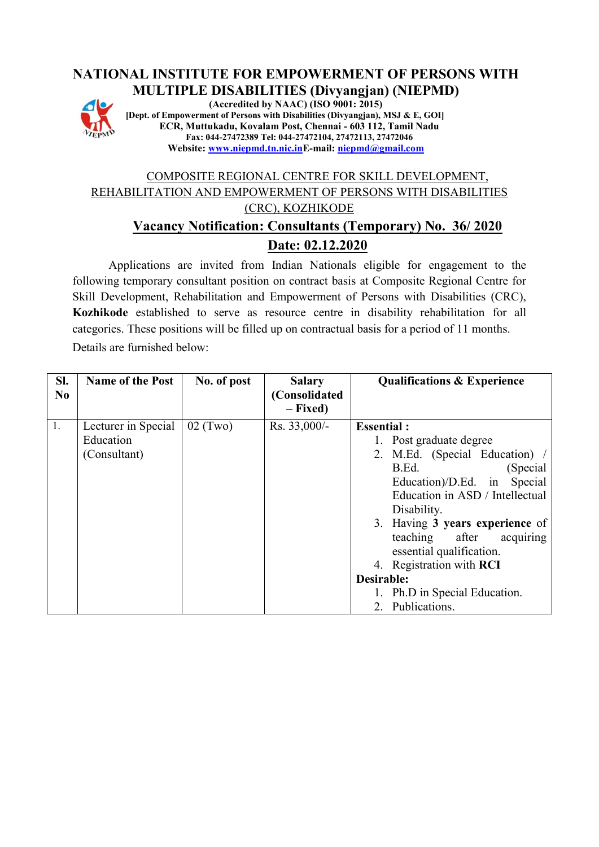# **NATIONAL INSTITUTE FOR EMPOWERMENT OF PERSONS WITH MULTIPLE DISABILITIES (Divyangjan) (NIEPMD)**



**(Accredited by NAAC) (ISO 9001: 2015) [Dept. of Empowerment of Persons with Disabilities (Divyangjan), MSJ & E, GOI] ECR, Muttukadu, Kovalam Post, Chennai - 603 112, Tamil Nadu Fax: 044-27472389 Tel: 044-27472104, 27472113, 27472046 Website: [www.niepmd.tn.nic.inE](http://www.niepmd.tn.nic.in/)-mail[: niepmd@gmail.com](mailto:niepmd@gmail.com)**

# COMPOSITE REGIONAL CENTRE FOR SKILL DEVELOPMENT, REHABILITATION AND EMPOWERMENT OF PERSONS WITH DISABILITIES (CRC), KOZHIKODE **Vacancy Notification: Consultants (Temporary) No. 36/ 2020 Date: 02.12.2020**

Applications are invited from Indian Nationals eligible for engagement to the following temporary consultant position on contract basis at Composite Regional Centre for Skill Development, Rehabilitation and Empowerment of Persons with Disabilities (CRC), **Kozhikode** established to serve as resource centre in disability rehabilitation for all categories. These positions will be filled up on contractual basis for a period of 11 months. Details are furnished below:

| SI.<br>N <sub>0</sub> | <b>Name of the Post</b> | No. of post | <b>Salary</b><br>(Consolidated<br>$-$ Fixed) | <b>Qualifications &amp; Experience</b> |
|-----------------------|-------------------------|-------------|----------------------------------------------|----------------------------------------|
| 1.                    | Lecturer in Special     | $02$ (Two)  | Rs. 33,000/-                                 | <b>Essential:</b>                      |
|                       | Education               |             |                                              | 1. Post graduate degree                |
|                       | (Consultant)            |             |                                              | 2. M.Ed. (Special Education) /         |
|                       |                         |             |                                              | B.Ed.<br>(Special)                     |
|                       |                         |             |                                              | Education)/D.Ed. in<br>Special         |
|                       |                         |             |                                              | Education in ASD / Intellectual        |
|                       |                         |             |                                              | Disability.                            |
|                       |                         |             |                                              | 3. Having 3 years experience of        |
|                       |                         |             |                                              | teaching after<br>acquiring            |
|                       |                         |             |                                              | essential qualification.               |
|                       |                         |             |                                              | 4. Registration with <b>RCI</b>        |
|                       |                         |             |                                              | Desirable:                             |
|                       |                         |             |                                              | 1. Ph.D in Special Education.          |
|                       |                         |             |                                              | 2. Publications.                       |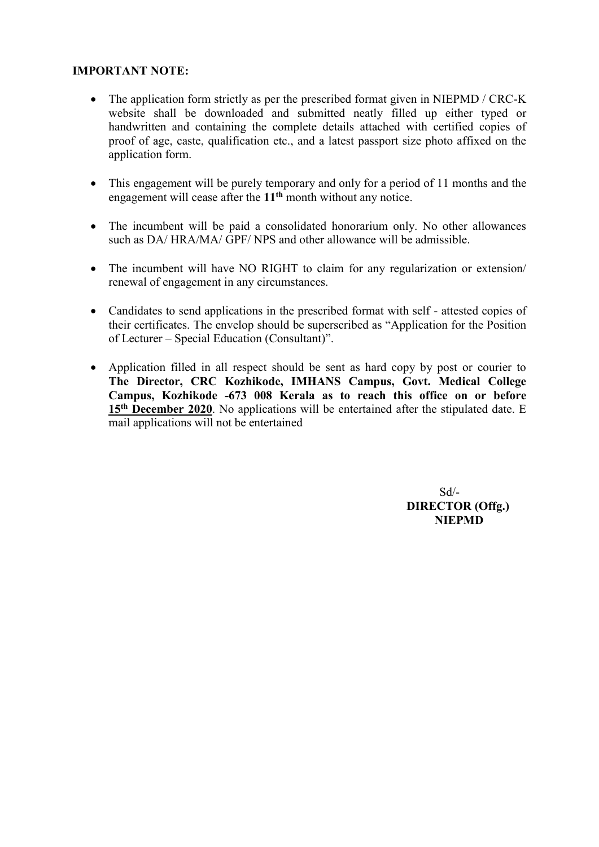### **IMPORTANT NOTE:**

- The application form strictly as per the prescribed format given in NIEPMD / CRC-K website shall be downloaded and submitted neatly filled up either typed or handwritten and containing the complete details attached with certified copies of proof of age, caste, qualification etc., and a latest passport size photo affixed on the application form.
- This engagement will be purely temporary and only for a period of 11 months and the engagement will cease after the **11th** month without any notice.
- The incumbent will be paid a consolidated honorarium only. No other allowances such as DA/HRA/MA/ GPF/ NPS and other allowance will be admissible.
- The incumbent will have NO RIGHT to claim for any regularization or extension/ renewal of engagement in any circumstances.
- Candidates to send applications in the prescribed format with self attested copies of their certificates. The envelop should be superscribed as "Application for the Position of Lecturer – Special Education (Consultant)".
- Application filled in all respect should be sent as hard copy by post or courier to **The Director, CRC Kozhikode, IMHANS Campus, Govt. Medical College Campus, Kozhikode -673 008 Kerala as to reach this office on or before**  15<sup>th</sup> December 2020. No applications will be entertained after the stipulated date. E mail applications will not be entertained

Sd/-  **DIRECTOR (Offg.) NIEPMD**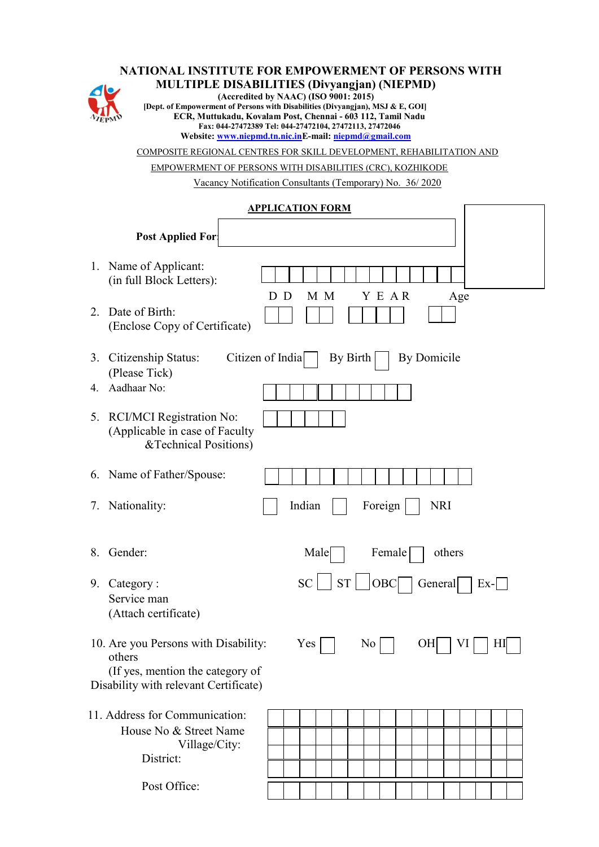#### **NATIONAL INSTITUTE FOR EMPOWERMENT OF PERSONS WITH**



**MULTIPLE DISABILITIES (Divyangjan) (NIEPMD) (Accredited by NAAC) (ISO 9001: 2015) [Dept. of Empowerment of Persons with Disabilities (Divyangjan), MSJ & E, GOI] ECR, Muttukadu, Kovalam Post, Chennai - 603 112, Tamil Nadu Fax: 044-27472389 Tel: 044-27472104, 27472113, 27472046 Website: [www.niepmd.tn.nic.inE](http://www.niepmd.tn.nic.in/)-mail[: niepmd@gmail.com](mailto:niepmd@gmail.com)** COMPOSITE REGIONAL CENTRES FOR SKILL DEVELOPMENT, REHABILITATION AND EMPOWERMENT OF PERSONS WITH DISABILITIES (CRC), KOZHIKODE Vacancy Notification Consultants (Temporary) No. 36/ 2020 **APPLICATION FORM Post Applied For:** 1. Name of Applicant: (in full Block Letters): D D M M Y E A R Age 2. Date of Birth: (Enclose Copy of Certificate) 3. Citizenship Status: Citizen of India  $\Box$  By Birth By Domicile (Please Tick) 4. Aadhaar No: 5. RCI/MCI Registration No: (Applicable in case of Faculty &Technical Positions) 6. Name of Father/Spouse: 7. Nationality:  $\parallel$  Indian  $\parallel$  Foreign NRI 8. Gender: Male Female others 9. Category :  $SC \cup ST \cup OBC \cap General \subset Ex-\square$ Service man (Attach certificate) 10. Are you Persons with Disability:  $Yes \Box$  No  $\Box$  OH VI HI others (If yes, mention the category of Disability with relevant Certificate) 11. Address for Communication: House No & Street Name Village/City: District:

Post Office: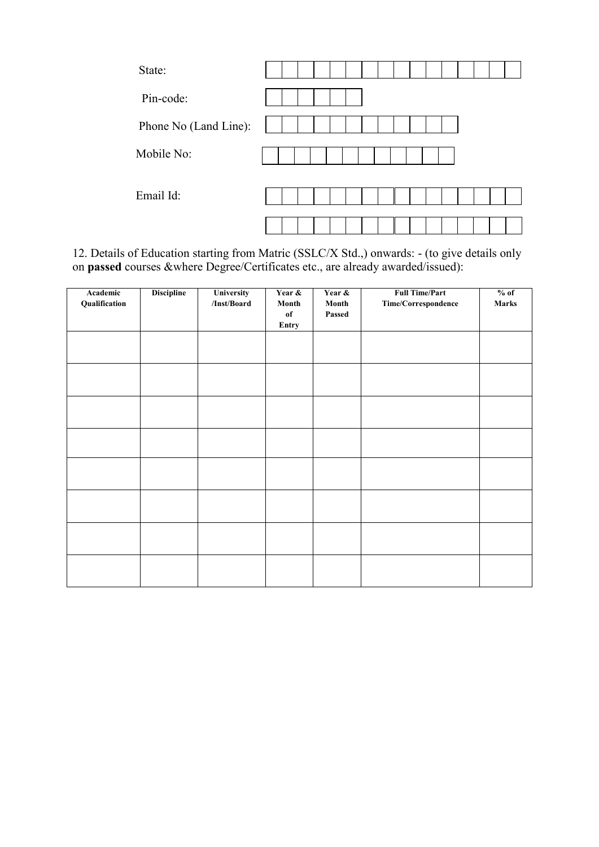| State:                |  |
|-----------------------|--|
| Pin-code:             |  |
| Phone No (Land Line): |  |
| Mobile No:            |  |
| Email Id:             |  |
|                       |  |

12. Details of Education starting from Matric (SSLC/X Std.,) onwards: - (to give details only on **passed** courses &where Degree/Certificates etc., are already awarded/issued):

| Academic<br>Qualification | <b>Discipline</b> | University<br>/Inst/Board | Year &<br>Month<br>of<br>Entry | Year &<br>Month<br>Passed | <b>Full Time/Part</b><br>$\label{thm:time} Time/Correspondence$ | $%$ of<br><b>Marks</b> |
|---------------------------|-------------------|---------------------------|--------------------------------|---------------------------|-----------------------------------------------------------------|------------------------|
|                           |                   |                           |                                |                           |                                                                 |                        |
|                           |                   |                           |                                |                           |                                                                 |                        |
|                           |                   |                           |                                |                           |                                                                 |                        |
|                           |                   |                           |                                |                           |                                                                 |                        |
|                           |                   |                           |                                |                           |                                                                 |                        |
|                           |                   |                           |                                |                           |                                                                 |                        |
|                           |                   |                           |                                |                           |                                                                 |                        |
|                           |                   |                           |                                |                           |                                                                 |                        |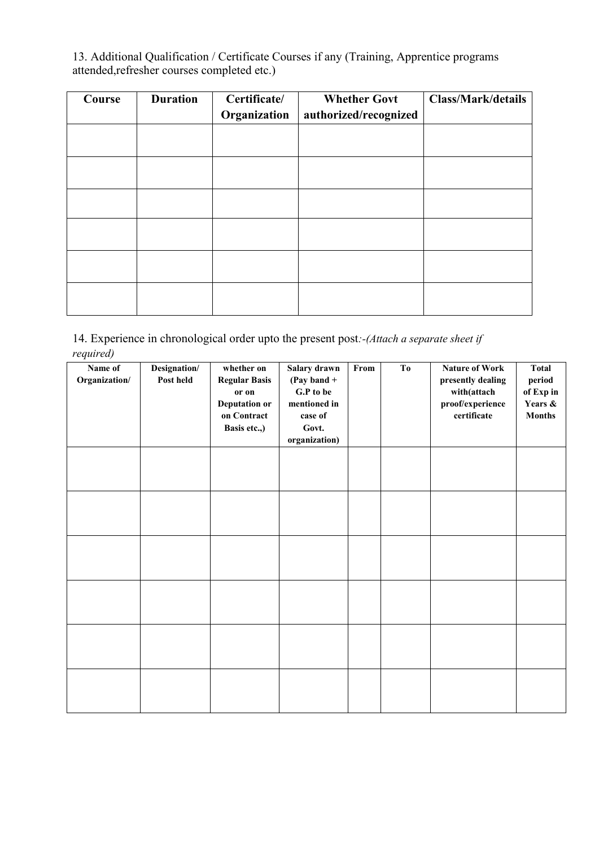13. Additional Qualification / Certificate Courses if any (Training, Apprentice programs attended,refresher courses completed etc.)

| Course | <b>Duration</b> | Certificate/ | <b>Whether Govt</b>   | <b>Class/Mark/details</b> |
|--------|-----------------|--------------|-----------------------|---------------------------|
|        |                 | Organization | authorized/recognized |                           |
|        |                 |              |                       |                           |
|        |                 |              |                       |                           |
|        |                 |              |                       |                           |
|        |                 |              |                       |                           |
|        |                 |              |                       |                           |
|        |                 |              |                       |                           |
|        |                 |              |                       |                           |
|        |                 |              |                       |                           |
|        |                 |              |                       |                           |
|        |                 |              |                       |                           |
|        |                 |              |                       |                           |
|        |                 |              |                       |                           |

14. Experience in chronological order upto the present post*:-(Attach a separate sheet if required)*

| Name of       | Designation/ | whether on           | Salary drawn  | From | T <sub>0</sub> | <b>Nature of Work</b> | <b>Total</b>  |
|---------------|--------------|----------------------|---------------|------|----------------|-----------------------|---------------|
| Organization/ | Post held    | <b>Regular Basis</b> | (Pay band $+$ |      |                | presently dealing     | period        |
|               |              | or on                | G.P to be     |      |                | with(attach           | of Exp in     |
|               |              | <b>Deputation or</b> | mentioned in  |      |                | proof/experience      | Years &       |
|               |              | on Contract          | case of       |      |                | certificate           | <b>Months</b> |
|               |              | Basis etc.,)         | Govt.         |      |                |                       |               |
|               |              |                      | organization) |      |                |                       |               |
|               |              |                      |               |      |                |                       |               |
|               |              |                      |               |      |                |                       |               |
|               |              |                      |               |      |                |                       |               |
|               |              |                      |               |      |                |                       |               |
|               |              |                      |               |      |                |                       |               |
|               |              |                      |               |      |                |                       |               |
|               |              |                      |               |      |                |                       |               |
|               |              |                      |               |      |                |                       |               |
|               |              |                      |               |      |                |                       |               |
|               |              |                      |               |      |                |                       |               |
|               |              |                      |               |      |                |                       |               |
|               |              |                      |               |      |                |                       |               |
|               |              |                      |               |      |                |                       |               |
|               |              |                      |               |      |                |                       |               |
|               |              |                      |               |      |                |                       |               |
|               |              |                      |               |      |                |                       |               |
|               |              |                      |               |      |                |                       |               |
|               |              |                      |               |      |                |                       |               |
|               |              |                      |               |      |                |                       |               |